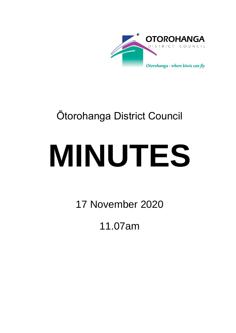

## Ōtorohanga District Council

# **MINUTES**

17 November 2020

11.07am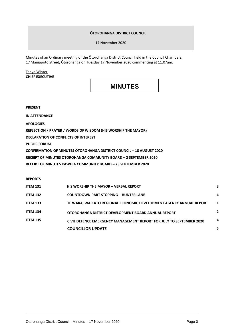#### **ŌTOROHANGA DISTRICT COUNCIL**

17 November 2020

Minutes of an Ordinary meeting of the Ōtorohanga District Council held in the Council Chambers, 17 Maniapoto Street, Ōtorohanga on Tuesday 17 November 2020 commencing at 11.07am.

Tanya Winter **CHIEF EXECUTIVE**

### **MINUTES**

**PRESENT**

**IN ATTENDANCE**

**APOLOGIES**

**REFLECTION / PRAYER / WORDS OF WISDOM (HIS WORSHIP THE MAYOR)**

**DECLARATION OF CONFLICTS OF INTEREST**

**PUBLIC FORUM**

**CONFIRMATION OF MINUTES ŌTOROHANGA DISTRICT COUNCIL – 18 AUGUST 2020**

**RECEIPT OF MINUTES ŌTOROHANGA COMMUNITY BOARD – 2 SEPTEMBER 2020**

**RECEIPT OF MINUTES KAWHIA COMMUNITY BOARD – 25 SEPTEMBER 2020** 

#### **REPORTS**

| <b>ITEM 131</b> | <b>HIS WORSHIP THE MAYOR - VERBAL REPORT</b>                         | 3           |
|-----------------|----------------------------------------------------------------------|-------------|
| <b>ITEM 132</b> | <b>COUNTDOWN PART STOPPING - HUNTER LANE</b>                         | 4           |
| <b>ITEM 133</b> | TE WAKA, WAIKATO REGIONAL ECONOMIC DEVELOPMENT AGENCY ANNUAL REPORT  | $\mathbf 1$ |
| <b>ITEM 134</b> | OTOROHANGA DISTRICT DEVELOPMENT BOARD ANNUAL REPORT                  | 2           |
| <b>ITEM 135</b> | CIVIL DEFENCE EMERGENCY MANAGEMENT REPORT FOR JULY TO SEPTEMBER 2020 | 4           |
|                 | <b>COUNCILLOR UPDATE</b>                                             |             |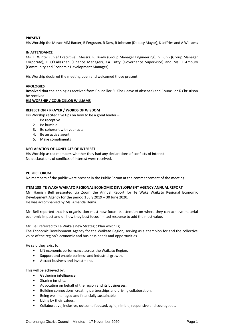#### **PRESENT**

His Worship the Mayor MM Baxter, B Ferguson, R Dow, R Johnson (Deputy Mayor), K Jeffries and A Williams

#### **IN ATTENDANCE**

Ms. T. Winter (Chief Executive), Messrs. R, Brady (Group Manager Engineering), G Bunn (Group Manager Corporate), B O'Callaghan (Finance Manager), CA Tutty (Governance Supervisor) and Ms. T Ambury (Community and Economic Development Manager)

His Worship declared the meeting open and welcomed those present.

#### **APOLOGIES**

**Resolved** that the apologies received from Councillor R. Klos (leave of absence) and Councillor K Christison be received.

#### **HIS WORSHIP / COUNCILLOR WILLIAMS**

#### **REFLECTION / PRAYER / WORDS OF WISDOM**

His Worship recited five tips on how to be a great leader –

- 1. Be receptive
- 2. Be humble
- 3. Be coherent with your acts
- 4. Be an active agent
- 5. Make compliments

#### **DECLARATION OF CONFLICTS OF INTEREST**

His Worship asked members whether they had any declarations of conflicts of interest. No declarations of conflicts of interest were received.

#### **PUBLIC FORUM**

No members of the public were present in the Public Forum at the commencement of the meeting.

#### **ITEM 133 TE WAKA WAIKATO REGIONAL ECONOMIC DEVELOPMENT AGENCY ANNUAL REPORT**

Mr. Hamish Bell presented via Zoom the Annual Report for Te Waka Waikato Regional Economic Development Agency for the period 1 July 2019 – 30 June 2020. He was accompanied by Ms. Amanda Hema.

Mr. Bell reported that his organisation must now focus its attention on where they can achieve material economic impact and on how they best focus limited resource to add the most value.

#### Mr. Bell referred to Te Waka's new Strategic Plan which Is;

The Economic Development Agency for the Waikato Region, serving as a champion for and the collective voice of the region's economic and business needs and opportunities.

He said they exist to:

- Lift economic performance across the Waikato Region.
- Support and enable business and industrial growth.
- Attract business and investment.

This will be achieved by:

- Gathering intelligence.
- Sharing insights.
- Advocating on behalf of the region and its businesses.
- Building connections, creating partnerships and driving collaboration.
- Being well managed and financially sustainable.
- Living by their values.
- Collaborative, inclusive, outcome focused, agile, nimble, responsive and courageous.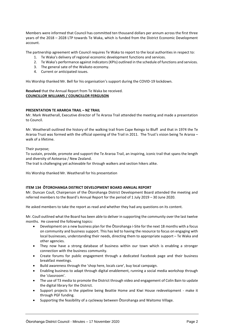Members were informed that Council has committed ten thousand dollars per annum across the first three years of the 2018 – 2028 LTP towards Te Waka, which is funded from the District Economic Development account.

The partnership agreement with Council requires Te Waka to report to the local authorities in respect to:

- 1. Te Waka's delivery of regional economic development functions and services.
- 2. Te Waka's performance against indicators (KPIs) outlined in the schedule of functions and services.
- 3. The general sate of the Waikato economy.
- 4. Current or anticipated issues.

His Worship thanked Mr. Bell for his organisation's support during the COVID-19 lockdown.

**Resolved** that the Annual Report from Te Waka be received. **COUNCILLOR WILLIAMS / COUNCILLOR FERGUSON**

#### **PRESENTATION TE ARAROA TRAIL – NZ TRAIL**

Mr. Mark Weatherall, Executive director of Te Araroa Trail attended the meeting and made a presentation to Council.

Mr. Weatherall outlined the history of the walking trail from Cape Reinga to Bluff and that in 1974 the Te Araroa Trust was formed with the official opening of the Trail in 2011. The Trust's vision being Te Araroa – walk of a lifetime.

Their purpose;

To sustain, provide, promote and support the Te Araroa Trail, an inspiring, iconic trail that spans the length and diversity of Aotearoa / New Zealand.

The trail is challenging yet achievable for through walkers and section hikers alike.

His Worship thanked Mr. Weatherall for his presentation

#### **ITEM 134 ŌTOROHANGA DISTRICT DEVELOPMENT BOARD ANNUAL REPORT**

Mr. Duncan Coull, Chairperson of the Ōtorohanga District Development Board attended the meeting and referred members to the Board's Annual Report for the period of 1 July 2019 – 30 June 2020.

He asked members to take the report as read and whether they had any questions on its content.

Mr. Coull outlined what the Board has been able to deliver in supporting the community over the last twelve months. He covered the following topics:

- Development on a new business plan for the Ōtorohanga i-Site for the next 18 months with a focus on community and business support. This has led to having the resource to focus on engaging with local businesses, understanding their needs, directing them to appropriate support – Te Waka and other agencies.
- They now have a strong database of business within our town which is enabling a stronger connection with the business community.
- Create forums for public engagement through a dedicated Facebook page and their business breakfast meetings.
- Build awareness through the 'shop here, locals care', buy local campaign.
- Enabling business to adapt through digital enablement, running a social media workshop through the 'classroom'.
- The use of T3 media to promote the District through video and engagement of Colin Bain to update the digital library for the District.
- Support projects in the pipeline being Beattie Home and Kiwi House redevelopment make it through PGF funding.
- Supporting the feasibility of a cycleway between Ōtorohanga and Waitomo Village.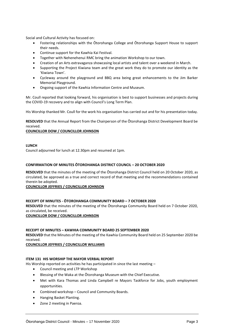Social and Cultural Activity has focused on:

- Fostering relationships with the Ōtorohanga College and Ōtorohanga Support House to support their needs.
- Continue support for the Kawhia Kai Festival.
- Together with Nehenehenui RMC bring the animation Workshop to our town.
- Creation of an Arts extravaganza showcasing local artists and talent over a weekend in March.
- Supporting the Project Kiwiana team and the great work they do to promote our identity as the 'Kiwiana Town'.
- Cycleway around the playground and BBQ area being great enhancements to the Jim Barker Memorial Playground.
- Ongoing support of the Kawhia Information Centre and Museum.

Mr. Coull reported that looking forward, his organisation is best to support businesses and projects during the COVID-19 recovery and to align with Council's Long Term Plan.

His Worship thanked Mr. Coull for the work his organisation has carried out and for his presentation today.

**RESOLVED** that the Annual Report from the Chairperson of the Ōtorohanga District Development Board be received.

#### **COUNCILLOR DOW / COUNCILLOR JOHNSON**

#### **LUNCH**

Council adjourned for lunch at 12.30pm and resumed at 1pm.

#### **CONFIRMATION OF MINUTES ŌTOROHANGA DISTRICT COUNCIL – 20 OCTOBER 2020**

**RESOLVED** that the minutes of the meeting of the Ōtorohanga District Council held on 20 October 2020, as circulated, be approved as a true and correct record of that meeting and the recommendations contained therein be adopted.

#### **COUNCILLOR JEFFRIES / COUNCILLOR JOHNSON**

#### **RECEIPT OF MINUTES - ŌTOROHANGA COMMUNITY BOARD – 7 OCTOBER 2020**

**RESOLVED** that the minutes of the meeting of the Ōtorohanga Community Board held on 7 October 2020, as circulated, be received.

#### **COUNCILLOR DOW / COUNCILLOR JOHNSON**

#### **RECEIPT OF MINUTES – KAWHIA COMMUNITY BOARD 25 SEPTEMBER 2020**

**RESOLVED** that the Minutes of the meeting of the Kawhia Community Board held on 25 September 2020 be received.

#### **COUNCILLOR JEFFRIES / COUNCILLOR WILLIAMS**

#### **ITEM 131 HIS WORSHIP THE MAYOR VERBAL REPORT**

His Worship reported on activities he has participated in since the last meeting –

- Council meeting and LTP Workshop
- Blessing of the Waka at the Ōtorohanga Museum with the Chief Executive.
- Met with Kara Thomas and Linda Campbell re Mayors Taskforce for Jobs, youth employment opportunities.
- Combined workshop Council and Community Boards.
- Hanging Basket Planting.
- Zone 2 meeting in Paeroa.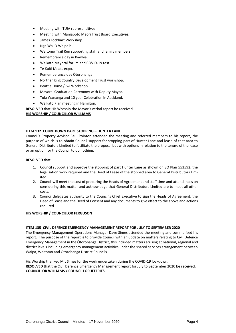- Meeting with TUIA representitives.
- Meeting with Maniapoto Maori Trust Board Executives.
- James Lockhart Workshop.
- Nga Wai O Waipa hui.
- Waitomo Trail Run supporting staff and family members.
- Remembrance day in Kawhia.
- Waikato Mayoral forum and COVID-19 test.
- Te Kuiti Meats expo.
- Rememberance day Ōtorohanga
- Norther King Country Development Trust workshop.
- Beattie Home / Iwi Workshop
- Mayoral Graduation Ceremony with Deputy Mayor.
- Tuia Wananga and 10 year Celebration in Auckland.
- Waikato Plan meeting in Hamilton.

**RESOLVED** that His Worship the Mayor's verbal report be received.

#### **HIS WORSHIP / COUNCILLOR WILLIAMS**

#### **ITEM 132 COUNTDOWN PART STOPPING – HUNTER LANE**

Council's Property Advisor Paul Pointon attended the meeting and referred members to his report, the purpose of which is to obtain Council support for stopping part of Hunter Lane and lease of that area to General Distributors Limited to facilitate the proposal but with options in relation to the tenure of the lease or an option for the Council to do nothing.

#### **RESOLVED** that

- 1. Council support and approve the stopping of part Hunter Lane as shown on SO Plan 553592, the legalisation work required and the Deed of Lease of the stopped area to General Distributors Limited.
- 2. Council will meet the cost of preparing the Heads of Agreement and staff time and attendances on considering this matter and acknowledge that General Distributors Limited are to meet all other costs.
- 3. Council delegates authority to the Council's Chief Executive to sign the Heads of Agreement, the Deed of Lease and the Deed of Consent and any documents to give effect to the above and actions required.

#### **HIS WORSHIP / COUNCILLOR FERGUSON**

#### **ITEM 135 CIVIL DEFENCE EMERGENCY MANAGEMENT REPORT FOR JULY TO SEPTEMBER 2020**

The Emergency Management Operations Manager Dave Simes attended the meeting and summarised his report. The purpose of the report is to provide Council with an update on matters relating to Civil Defence Emergency Management in the Ōtorohanga District, this included matters arrising at national, regional and district levels including emergency management activities under the shared services arrangement between Waipa, Waitomo and Ōtorohanga District Councils.

His Worship thanked Mr. Simes for the work undertaken during the COVID-19 lockdown. **RESOLVED** that the Civil Defence Emergency Management report for July to September 2020 be received. **COUNCILLOR WILLIAMS / COUNCILLOR JEFFRIES**